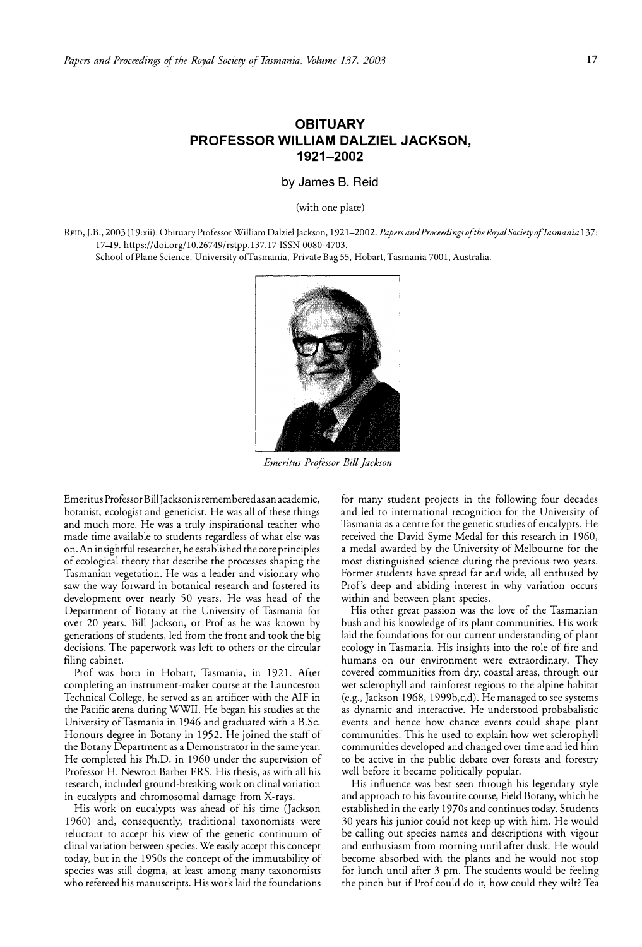## **OBITUARY PROFESSOR WILLIAM DALZIEL JACKSON, 1921-2002**

**by James B. Reid** 

(with one plate)

REID, J.B., 2003 (19:xii): Obituary Professor William Dalziel Jackson, 1921-2002. *Papers and Proceedings of the Royal Society ofTasmania* 137: 17-19. https://doi.org/10.26749/rstpp.137.17 ISSN 0080-4703.

School of Plane Science, University of Tasmania, Private Bag 55, Hobart, Tasmania 7001, Australia.



*Emeritus Professor Bill Jackson* 

Emeritus Professor Bill Jackson is remembered as an academic, botanist, ecologist and geneticist. He was all of these things and much more. He was a truly inspirational teacher who made time available to students regardless of what else was on. An insightful researcher, he established the core principles of ecological theory that describe the processes shaping the Tasmanian vegetation. He was a leader and visionary who saw the way forward in botanical research and fostered its development over nearly 50 years. He was head of the Department of Botany at the University of Tasmania for over 20 years. Bill Jackson, or Prof as he was known by generations of students, led from the front and took the big decisions. The paperwork was left to others or the circular filing cabinet.

Prof was born in Hobart, Tasmania, in 1921. After completing an instrument-maker course at the Launceston Technical College, he served as an artificer with the AIF in the Pacific arena during WWII. He began his studies at the University ofTasmania in 1946 and graduated with a B.Sc. Honours degree in Botany in 1952. He joined the staff of the Botany Department as a Demonstrator in the same year. He completed his Ph.D. in 1960 under the supervision of Professor H. Newton Barber FRS. His thesis, as with all his research, included ground-breaking work on clinal variation in eucalypts and chromosomal damage from X-rays.

His work on eucalypts was ahead of his time (Jackson 1960) and, consequently, traditional taxonomists were reluctant to accept his view of the genetic continuum of clinal variation between species. We easily accept this concept today, but in the 1950s the concept of the immutability of species was still dogma, at least among many taxonomists who refereed his manuscripts. His work laid the foundations

for many student projects in the following four decades and led to international recognition for the University of Tasmania as a centre for the genetic studies of eucalypts. He received the David Syme Medal for this research in 1960, a medal awarded by the University of Melbourne for the most distinguished science during the previous two years. Former students have spread far and wide, all enthused by Prof's deep and abiding interest in why variation occurs within and between plant species.

His other great passion was the love of the Tasmanian bush and his knowledge of its plant communities. His work laid the foundations for our current understanding of plant ecology in Tasmania. His insights into the role of fire and humans on our environment were extraordinary. They covered communities from dry, coastal areas, through our wet sclerophyll and rainforest regions to the alpine habitat (e.g., Jackson 1968, 19996,c,d). He managed to see systems as dynamic and interactive. He understood probabalistic events and hence how chance events could shape plant communities. This he used to explain how wet sclerophyll communities developed and changed over time and led him to be active in the public debate over forests and forestry well before it became politically popular.

His influence was best seen through his legendary style and approach to his favourite course, Field Botany, which he established in the early 1970s and continues today. Students 30 years his junior could not keep up with him. He would be calling out species names and descriptions with vigour and enthusiasm from morning until after dusk. He would become absorbed with the plants and he would not stop for lunch until after 3 pm. The students would be feeling the pinch but if Prof could do it, how could they wilt? Tea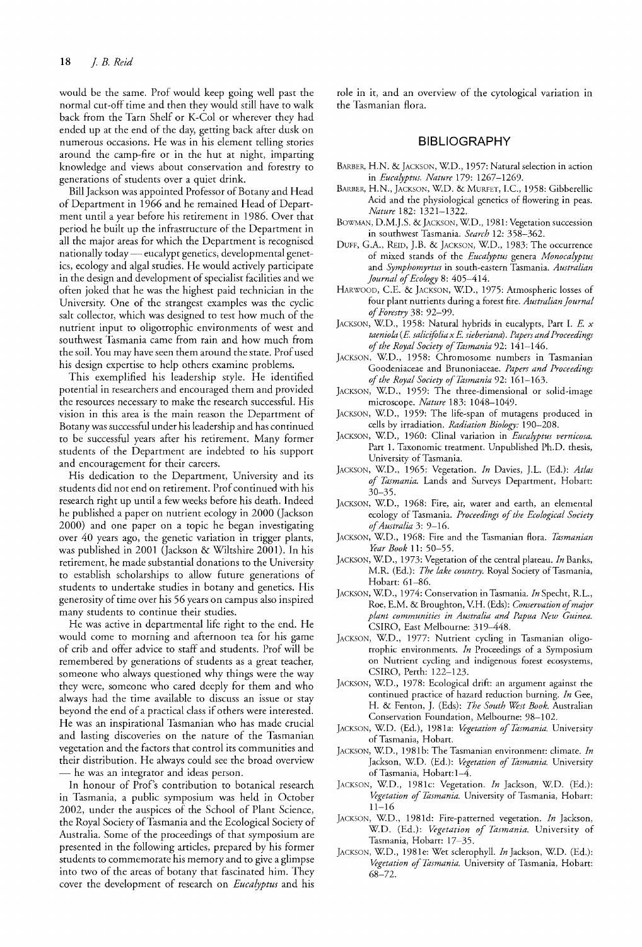would be the same. Prof would keep going well past the normal cut-off time and then they would still have to walk back from the Tarn Shelf or K-Col or wherever they had ended up at the end of the day, getting back after dusk on numerous occasions. He was in his element telling stories around the camp-fire or in the hut at night, imparting knowledge and views about conservation and forestry to generations of students over a quiet drink.

Bill Jackson was appointed Professor of Botany and Head of Department in 1966 and he remained Head of Department until a year before his retirement in 1986. Over that period he built up the infrastructure of the Department in all the major areas for which the Department is recognised nationally today — eucalypt genetics, developmental genetics, ecology and algal studies. He would actively participate in the design and development of specialist facilities and we often joked that he was the highest paid technician in the University. One of the strangest examples was the cyclic salt collector, which was designed to test how much of the nutrient input to oligotrophic environments of west and southwest Tasmania came from rain and how much from the soil. You may have seen them around the state. Prof used his design expertise to help others examine problems.

This exemplified his leadership style. He identified potential in researchers and encouraged them and provided the resources necessary to make the research successful. His vision in this area is the main reason the Department of Botany was successful under his leadership and has continued to be successful years after his retirement. Many former students of the Department are indebted to his support and encouragement for their careers.

His dedication to the Department, University and its students did not end on retirement. Prof continued with his research right up until a few weeks before his death. Indeed he published a paper on nutrient ecology in 2000 (Jackson 2000) and one paper on a topic he began investigating over 40 years ago, the genetic variation in trigger plants, was published in 2001 (Jackson & Wiltshire 2001). In his retirement, he made substantial donations to the University to establish scholarships to allow future generations of students to undertake studies in botany and genetics. His generosity of time over his 56 years on campus also inspired many students to continue their studies.

He was active in departmental life right to the end. He would come to morning and afternoon tea for his game of crib and offer advice to staff and students. Prof will be remembered by generations of students as a great teacher, someone who always questioned why things were the way they were, someone who cared deeply for them and who always had the time available to discuss an issue or stay beyond the end of a practical class if others were interested. He was an inspirational Tasmanian who has made crucial and lasting discoveries on the nature of the Tasmanian vegetation and the factors that control its communities and their distribution. He always could see the broad overview - he was an integrator and ideas person.

**In** honour of Prof's contribution to botanical research in Tasmania, a public symposium was held in October 2002, under the auspices of the School of Plant Science, the Royal Society of Tasmania and the Ecological Society of Australia. Some of the proceedings of that symposium are presented in the following articles, prepared by his former students to commemorate his memory and to give a glimpse into two of the areas of botany that fascinated him. They cover the development of research on *Eucalyptus* and his

role in it, and an overview of the cytological variation in the Tasmanian flora.

## **BIBLIOGRAPHY**

- BARBER, H.N. & JACKSON, W.D., 1957: Natural selection in action in *Eucalyptus. Nature* 179: 1267-1269.
- BARBER, H.N., JACKSON, W.D. & MURFET, I.C., 1958: Gibberellic Acid and the physiological genetics of flowering in peas. *Nature* 182: 1321-1322.
- BOWMAN, D.M.J.S. & JACKSON, W.D., 1981: Vegetation succession in southwest Tasmania. *Search* 12: 358-362.
- DUFF, G.A., REID, J.B. & JACKSON, W.D., 1983: The occurrence of mixed stands of the *Eucalyptus* genera *Monocalyptus*  and *Symphomyrtus* in south-eastern Tasmania. *Australian Journal of Ecology* 8: 405-414.
- HARWOOD, C.E. & JACKSON, W.D., 1975: Atmospheric losses of four plant nutrients during a forest fire. *Australian Journal of Forestry* 38: 92-99.
- JACKSON, WD., 1958: Natural hybrids in eucalypts, Part 1. E. *x taeniola* (E. *salicifolia x* E. *sieberiana). Papers and Proceedings of the Royal Society of Tasmania* 92: 141-146.
- JACKSON, W.D., 1958: Chromosome numbers in Tasmanian Goodeniaceae and Brunoniaceae. *Papers and Proceedings of the Royal Society of Tasmania* 92: 161-163.
- JACKSON, W.D., 1959: The three-dimensional or solid-image microscope. *Nature* 183: 1048-1049.
- JACKSON, W.D., 1959: The life-span of mutagens produced in cells by irradiation. *Radiation Biology: 190-208.*
- JACKSON, WD., 1960: Clinal variation in *Eucalyptus vernicosa.*  Part 1. Taxonomic treatment. Unpublished Ph.D. thesis, University of Tasmania.
- JACKSON, WD., 1965: Vegetation. *In* Davies, ].L. (Ed.): *Atlas of Tasmania.* Lands and Surveys Department, Hobart: 30-35.
- JACKSON, W.D., 1968: Fire, air, water and earth, an elemental ecology of Tasmania. *Proceedings of the Ecological Society of Australia* 3: 9-16.
- JACKSON, WD., 1968: Fire and the Tasmanian flora. *Tasmanian Year Book* 11: 50-55.
- JACKSON, WD., 1973: Vegetation of the central plateau. *In* Banks, M.R. (Ed.): *The lake country.* Royal Society of Tasmania, Hobart: 61-86.
- JACKSON, WD., 1974: Conservation in Tasmania. *In* Specht, R.L., Roe, E.M. & Broughton, Y.H. (Eds): *Conservation of major plant communities in Australia and Papua New Guinea.*  CSIRO, East Melbourne: 319-448.
- JACKSON, W.D., 1977: Nutrient cycling in Tasmanian oligotrophic environments. *In* Proceedings of a Symposium on Nutrient cycling and indigenous forest ecosystems, CSIRO, Perth: 122-123.
- JACKSON, W.D., 1978: Ecological drift: an argument against the continued practice of hazard reduction burning. *In* Gee, H. & Fenton, ]. (Eds): *The South West Book.* Australian Conservation Foundation, Melbourne: 98-102.
- JACKSON, WD. (Ed.), 1981a: *Vegetation of Tasmania.* University of Tasmania, Hobart.
- JACKSON, WD., 1981b: The Tasmanian environment: climate. *In*  Jackson, WD. (Ed.): *Vegetation of Tasmania.* University of Tasmania, Hobart: 1-4.
- JACKSON, W.D., 1981c: Vegetation. *In* Jackson, WD. (Ed.): *Vegetation of Tasmania.* University of Tasmania, Hobart: 11-16
- JACKSON, WD., I981d: Fire-patterned vegetation. *In* Jackson, W.D. (Ed.): *Vegetation of Tasmania.* University of Tasmania, Hobart: 17-35.
- JACKSON, WD., 1981e: Wet sclerophyll. *In* Jackson, WD. (Ed.): *Vegetation of Tasmania.* University of Tasmania, Hobart: 68-72.